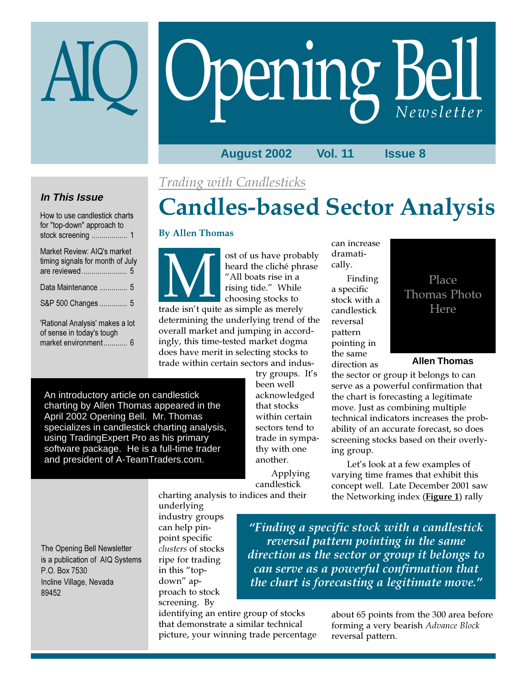# Opening Bell

**August 2002 Vol. 11 Issue 8**

## Trading with Candlesticks

### **In This Issue** How to use candlestick charts

| <u>HUW IO USE CANUIESIICK CHANS</u><br>for "top-down" approach to |
|-------------------------------------------------------------------|
| Market Review: AIQ's market<br>timing signals for month of July   |
| Data Maintenance  5                                               |
| S&P 500 Changes  5                                                |
| 'Rational Analysis' makes a lot<br>of sense in today's tough      |
| market environment 6                                              |

# Candles-based Sector Analysis

#### By Allen Thomas

Source the cliché phrase<br>
"All boats rise in a<br>
"All boats rise in a<br>
rising tide." While<br>
choosing stocks to<br>
trade isn't quite as simple as merely heard the cliché phrase "All boats rise in a rising tide." While choosing stocks to determining the underlying trend of the overall market and jumping in accordingly, this time-tested market dogma does have merit in selecting stocks to

can increase dramatically.

Finding a specific stock with a candlestick reversal pattern pointing in the same direction as

An introductory article on candlestick charting by Allen Thomas appeared in the April 2002 Opening Bell. Mr. Thomas specializes in candlestick charting analysis, using TradingExpert Pro as his primary software package. He is a full-time trader and president of A-TeamTraders.com.

trade within certain sectors and industry groups. It's been well acknowledged that stocks within certain sectors tend to trade in sympathy with one another.

Applying candlestick charting analysis to indices and their



**Allen Thomas**

the sector or group it belongs to can serve as a powerful confirmation that the chart is forecasting a legitimate move. Just as combining multiple technical indicators increases the probability of an accurate forecast, so does screening stocks based on their overlying group.

Let's look at a few examples of varying time frames that exhibit this concept well. Late December 2001 saw the Networking index (**Figure 1**) rally

The Opening Bell Newsletter is a publication of AIQ Systems P.O. Box 7530 Incline Village, Nevada 89452

underlying industry groups can help pinpoint specific clusters of stocks ripe for trading in this "topdown" approach to stock screening. By

"Finding a specific stock with a candlestick reversal pattern pointing in the same direction as the sector or group it belongs to can serve as a powerful confirmation that the chart is forecasting a legitimate move."

identifying an entire group of stocks that demonstrate a similar technical picture, your winning trade percentage

about 65 points from the 300 area before forming a very bearish Advance Block reversal pattern.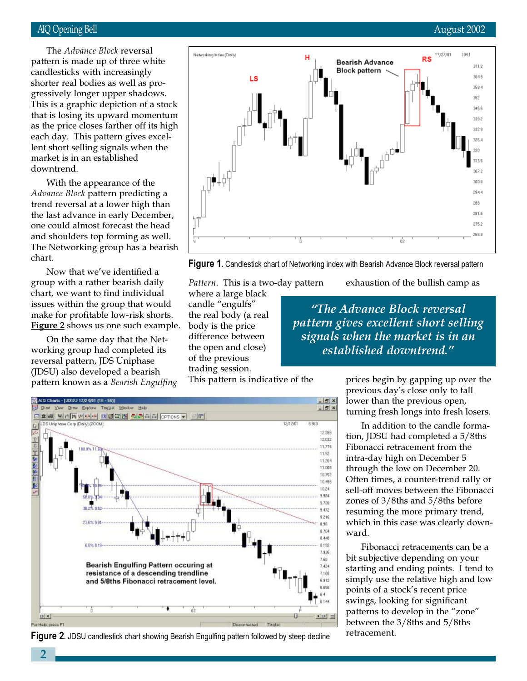#### AIQ Opening Bell August 2002

shorter real bodies as well as pro-The Advance Block reversal pattern is made up of three white candlesticks with increasingly gressively longer upper shadows. This is a graphic depiction of a stock that is losing its upward momentum as the price closes farther off its high each day. This pattern gives excellent short selling signals when the market is in an established downtrend.

With the appearance of the Advance Block pattern predicting a trend reversal at a lower high than the last advance in early December, one could almost forecast the head and shoulders top forming as well. The Networking group has a bearish chart.

Now that we've identified a group with a rather bearish daily chart, we want to find individual issues within the group that would make for profitable low-risk shorts. Figure 2 shows us one such example.

On the same day that the Networking group had completed its reversal pattern, JDS Uniphase (JDSU) also developed a bearish pattern known as a Bearish Engulfing





Pattern. This is a two-day pattern

where a large black candle "engulfs" the real body (a real body is the price difference between the open and close) of the previous trading session.

exhaustion of the bullish camp as

"The Advance Block reversal pattern gives excellent short selling signals when the market is in an established downtrend."

This pattern is indicative of the



**Figure 2.** JDSU candlestick chart showing Bearish Engulfing pattern followed by steep decline

prices begin by gapping up over the previous day's close only to fall lower than the previous open, turning fresh longs into fresh losers.

In addition to the candle formation, JDSU had completed a 5/8ths Fibonacci retracement from the intra-day high on December 5 through the low on December 20. Often times, a counter-trend rally or sell-off moves between the Fibonacci zones of 3/8ths and 5/8ths before resuming the more primary trend, which in this case was clearly downward.

Fibonacci retracements can be a bit subjective depending on your starting and ending points. I tend to simply use the relative high and low points of a stock's recent price swings, looking for significant patterns to develop in the "zone" between the 3/8ths and 5/8ths retracement.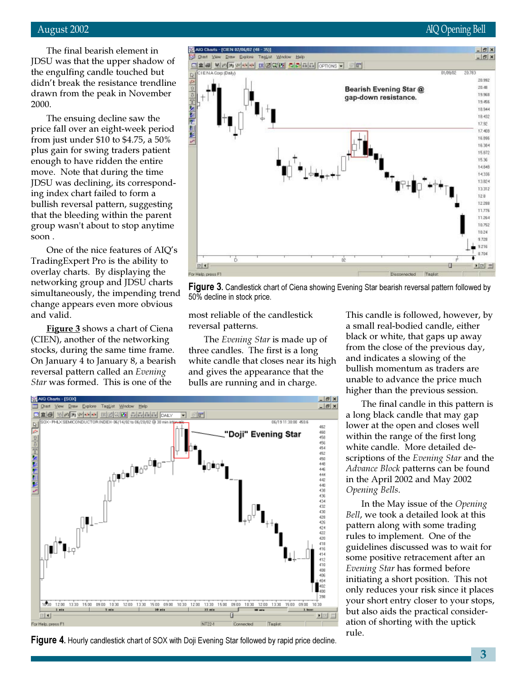The final bearish element in JDSU was that the upper shadow of the engulfing candle touched but didn't break the resistance trendline drawn from the peak in November 2000.

The ensuing decline saw the price fall over an eight-week period from just under \$10 to \$4.75, a 50% plus gain for swing traders patient enough to have ridden the entire move. Note that during the time JDSU was declining, its corresponding index chart failed to form a bullish reversal pattern, suggesting that the bleeding within the parent group wasn't about to stop anytime soon .

One of the nice features of AIQ's TradingExpert Pro is the ability to overlay charts. By displaying the networking group and JDSU charts simultaneously, the impending trend change appears even more obvious and valid.

**Figure 3** shows a chart of Ciena (CIEN), another of the networking stocks, during the same time frame. On January 4 to January 8, a bearish reversal pattern called an Evening Star was formed. This is one of the



Figure 3. Candlestick chart of Ciena showing Evening Star bearish reversal pattern followed by 50% decline in stock price.

most reliable of the candlestick reversal patterns.

The Evening Star is made up of three candles. The first is a long white candle that closes near its high and gives the appearance that the bulls are running and in charge.

This candle is followed, however, by a small real-bodied candle, either black or white, that gaps up away from the close of the previous day, and indicates a slowing of the bullish momentum as traders are unable to advance the price much higher than the previous session.

The final candle in this pattern is a long black candle that may gap lower at the open and closes well within the range of the first long white candle. More detailed descriptions of the Evening Star and the Advance Block patterns can be found in the April 2002 and May 2002 Opening Bells.

In the May issue of the Opening Bell, we took a detailed look at this pattern along with some trading rules to implement. One of the guidelines discussed was to wait for some positive retracement after an Evening Star has formed before initiating a short position. This not only reduces your risk since it places your short entry closer to your stops, but also aids the practical consideration of shorting with the uptick rule.



**Figure 4.** Hourly candlestick chart of SOX with Doji Evening Star followed by rapid price decline.

3

## August 2002 AIQ Opening Bell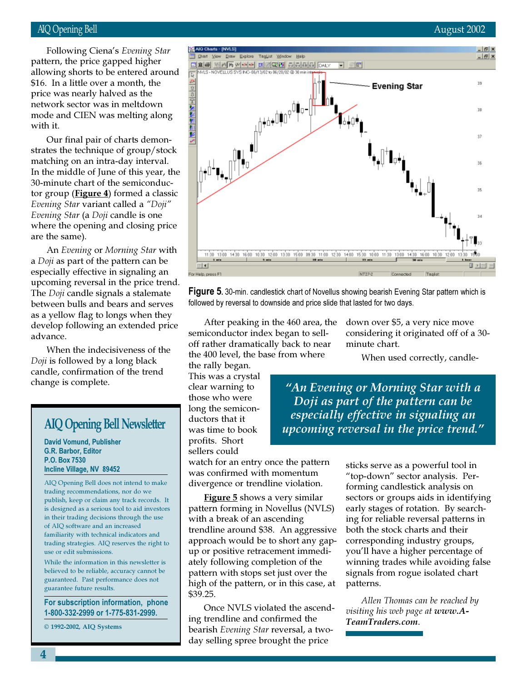#### AIQ Opening Bell August 2002

\$16. In a little over a month, the Following Ciena's Evening Star pattern, the price gapped higher allowing shorts to be entered around price was nearly halved as the network sector was in meltdown mode and CIEN was melting along with it.

Our final pair of charts demonstrates the technique of group/stock matching on an intra-day interval. In the middle of June of this year, the 30-minute chart of the semiconductor group ( $Figure 4$ ) formed a classic Evening Star variant called a "Doji" Evening Star (a Doji candle is one where the opening and closing price are the same).

An Evening or Morning Star with a Doji as part of the pattern can be especially effective in signaling an upcoming reversal in the price trend. The Doji candle signals a stalemate between bulls and bears and serves as a yellow flag to longs when they develop following an extended price advance.

When the indecisiveness of the Doji is followed by a long black candle, confirmation of the trend change is complete.

David Vomund, Publisher G.R. Barbor, Editor P.O. Box 7530 Incline Village, NV 89452

AIQ Opening Bell does not intend to make trading recommendations, nor do we publish, keep or claim any track records. It is designed as a serious tool to aid investors in their trading decisions through the use of AIQ software and an increased familiarity with technical indicators and trading strategies. AIQ reserves the right to use or edit submissions.

While the information in this newsletter is believed to be reliable, accuracy cannot be guaranteed. Past performance does not guarantee future results.

For subscription information, phone 1-800-332-2999 or 1-775-831-2999.

© 1992-2002, AIQ Systems



Figure 5. 30-min. candlestick chart of Novellus showing bearish Evening Star pattern which is followed by reversal to downside and price slide that lasted for two days.

After peaking in the 460 area, the semiconductor index began to selloff rather dramatically back to near the 400 level, the base from where the rally began.

This was a crystal clear warning to those who were long the semiconductors that it was time to book profits. Short sellers could

watch for an entry once the pattern was confirmed with momentum divergence or trendline violation.

**Figure 5** shows a very similar pattern forming in Novellus (NVLS) with a break of an ascending trendline around \$38. An aggressive approach would be to short any gapup or positive retracement immediately following completion of the pattern with stops set just over the high of the pattern, or in this case, at \$39.25.

Once NVLS violated the ascending trendline and confirmed the bearish Evening Star reversal, a twoday selling spree brought the price

down over \$5, a very nice move considering it originated off of a 30 minute chart.

When used correctly, candle-

"An Evening or Morning Star with a Doji as part of the pattern can be AIQ Opening Bell Newsletter uses that it especially effective in signaling an upcoming reversal in the price trend."

> sticks serve as a powerful tool in "top-down" sector analysis. Performing candlestick analysis on sectors or groups aids in identifying early stages of rotation. By searching for reliable reversal patterns in both the stock charts and their corresponding industry groups, you'll have a higher percentage of winning trades while avoiding false signals from rogue isolated chart patterns.

Allen Thomas can be reached by visiting his web page at www.A-TeamTraders.com.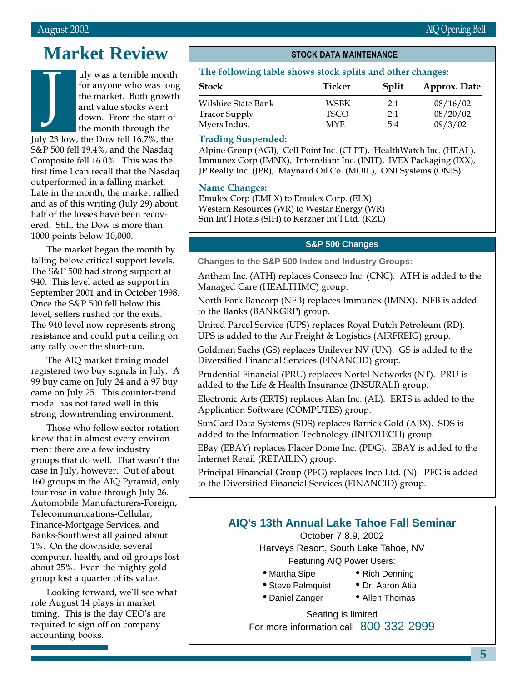# **Market Review**

uly was a terrible month for anyone who was long the market. Both growth and value stocks went down. From the start of the month through the July 23 low, the Dow fell 16.7%, the S&P 500 fell 19.4%, and the Nasdaq Composite fell 16.0%. This was the first time I can recall that the Nasdaq outperformed in a falling market. Late in the month, the market rallied and as of this writing (July 29) about half of the losses have been recovered. Still, the Dow is more than 1000 points below 10,000. J

The market began the month by falling below critical support levels. The S&P 500 had strong support at 940. This level acted as support in September 2001 and in October 1998. Once the S&P 500 fell below this level, sellers rushed for the exits. The 940 level now represents strong resistance and could put a ceiling on any rally over the short-run.

The AIQ market timing model registered two buy signals in July. A 99 buy came on July 24 and a 97 buy came on July 25. This counter-trend model has not fared well in this strong downtrending environment.

Those who follow sector rotation know that in almost every environment there are a few industry groups that do well. That wasn't the case in July, however. Out of about 160 groups in the AIQ Pyramid, only four rose in value through July 26. Automobile Manufacturers-Foreign, Telecommunications-Cellular, Finance-Mortgage Services, and Banks-Southwest all gained about 1%. On the downside, several computer, health, and oil groups lost about 25%. Even the mighty gold group lost a quarter of its value.

Looking forward, we'll see what role August 14 plays in market timing. This is the day CEO's are required to sign off on company accounting books.

#### STOCK DATA MAINTENANCE

#### The following table shows stock splits and other changes:

| <b>Stock</b>         | Ticker      | Split | Approx. Date |
|----------------------|-------------|-------|--------------|
| Wilshire State Bank  | WSBK        | 2:1   | 08/16/02     |
| <b>Tracor Supply</b> | <b>TSCO</b> | 2:1   | 08/20/02     |
| Myers Indus.         | <b>MYE</b>  | 5:4   | 09/3/02      |

#### Trading Suspended:

Alpine Group (AGI), Cell Point Inc. (CLPT), HealthWatch Inc. (HEAL), Immunex Corp (IMNX), Interreliant Inc. (INIT), IVEX Packaging (IXX), JP Realty Inc. (JPR), Maynard Oil Co. (MOIL), ONI Systems (ONIS)

#### Name Changes:

Emulex Corp (EMLX) to Emulex Corp. (ELX) Western Resources (WR) to Westar Energy (WR) Sun Int'l Hotels (SIH) to Kerzner Int'l Ltd. (KZL)

#### **S&P 500 Changes**

**Changes to the S&P 500 Index and Industry Groups:**

Anthem Inc. (ATH) replaces Conseco Inc. (CNC). ATH is added to the Managed Care (HEALTHMC) group.

North Fork Bancorp (NFB) replaces Immunex (IMNX). NFB is added to the Banks (BANKGRP) group.

United Parcel Service (UPS) replaces Royal Dutch Petroleum (RD). UPS is added to the Air Freight & Logistics (AIRFREIG) group.

Goldman Sachs (GS) replaces Unilever NV (UN). GS is added to the Diversified Financial Services (FINANCID) group.

Prudential Financial (PRU) replaces Nortel Networks (NT). PRU is added to the Life & Health Insurance (INSURALI) group.

Electronic Arts (ERTS) replaces Alan Inc. (AL). ERTS is added to the Application Software (COMPUTES) group.

SunGard Data Systems (SDS) replaces Barrick Gold (ABX). SDS is added to the Information Technology (INFOTECH) group.

EBay (EBAY) replaces Placer Dome Inc. (PDG). EBAY is added to the Internet Retail (RETAILIN) group.

Principal Financial Group (PFG) replaces Inco Ltd. (N). PFG is added to the Diversified Financial Services (FINANCID) group.

## **AIQ's 13th Annual Lake Tahoe Fall Seminar**

October 7,8,9, 2002 Harveys Resort, South Lake Tahoe, NV Featuring AIQ Power Users:

- Martha Sipe Rich Denning
	-
- Steve Palmquist Dr. Aaron Atia
- 
- 
- Daniel Zanger Allen Thomas

Seating is limited For more information call 800-332-2999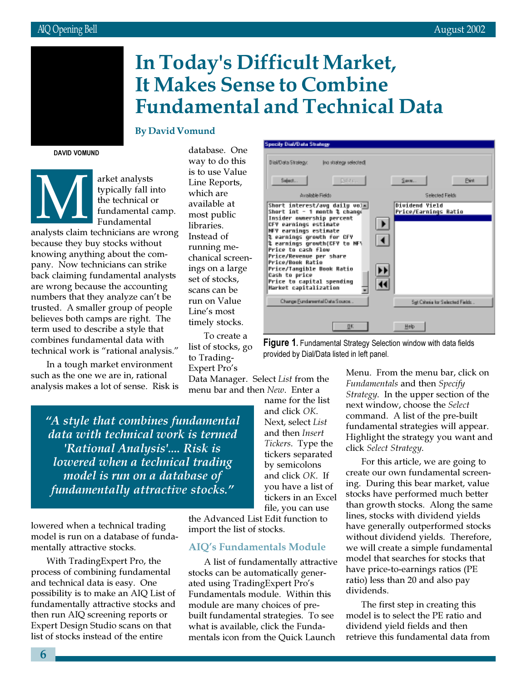## March 2002 In Today's Difficult Market, It Makes Sense to Combine Fundamental and Technical Data

#### By David Vomund

DAVID VOMUND

arket analysts<br>typically fall if<br>the technical of<br>fundamental<br>readministers are typically fall into the technical or fundamental camp. Fundamental

analysts claim technicians are wrong because they buy stocks without knowing anything about the company. Now technicians can strike back claiming fundamental analysts are wrong because the accounting numbers that they analyze can't be trusted. A smaller group of people believes both camps are right. The term used to describe a style that combines fundamental data with technical work is "rational analysis."

In a tough market environment such as the one we are in, rational analysis makes a lot of sense. Risk is

database. One way to do this is to use Value Line Reports, which are available at most public libraries. Instead of running mechanical screenings on a large set of stocks, scans can be run on Value Line's most timely stocks.

To create a list of stocks, go to Trading-Expert Pro's Data Manager. Select List from the menu bar and then New. Enter a

**Specify Dial/Data Strategy** Dial/Data Strategy In situategy selected Deter Select. Save. **Dint** Available Fields Selected Fields Dividend Yield<br>Price/Earnings Ratio Short interest/avg daily vol<u>m|</u><br>Short int - 1 month % change Insider ownership percent  $\blacktriangleright$ CFY earnings estimate NFV earnings estimate **Rearnings growth for CFY**<br>**Rearnings growth(CFY to NFY)**<br>Price to cash flow ◀ Price/Revenue per share Price/Book Ratio Price/Tangible Book Ratio ▸ **Cash to price<br>Cash to price<br>Price to capital spending** 11 Market capitalization Change Fundaremtal Data Sousce Sigt Colonia for Selected Fields 脈 Help

Figure 1. Fundamental Strategy Selection window with data fields provided by Dial/Data listed in left panel.

"A style that combines fundamental data with technical work is termed 'Rational Analysis'.... Risk is lowered when a technical trading model is run on a database of fundamentally attractive stocks."

lowered when a technical trading model is run on a database of fundamentally attractive stocks.

With TradingExpert Pro, the process of combining fundamental and technical data is easy. One possibility is to make an AIQ List of fundamentally attractive stocks and then run AIQ screening reports or Expert Design Studio scans on that list of stocks instead of the entire

name for the list and click OK. Next, select List and then Insert Tickers. Type the tickers separated by semicolons and click OK. If you have a list of tickers in an Excel file, you can use

the Advanced List Edit function to import the list of stocks.

#### AIQ's Fundamentals Module

A list of fundamentally attractive stocks can be automatically generated using TradingExpert Pro's Fundamentals module. Within this module are many choices of prebuilt fundamental strategies. To see what is available, click the Fundamentals icon from the Quick Launch

Menu. From the menu bar, click on Fundamentals and then Specify Strategy. In the upper section of the next window, choose the Select command. A list of the pre-built fundamental strategies will appear. Highlight the strategy you want and click Select Strategy.

For this article, we are going to create our own fundamental screening. During this bear market, value stocks have performed much better than growth stocks. Along the same lines, stocks with dividend yields have generally outperformed stocks without dividend yields. Therefore, we will create a simple fundamental model that searches for stocks that have price-to-earnings ratios (PE ratio) less than 20 and also pay dividends.

The first step in creating this model is to select the PE ratio and dividend yield fields and then retrieve this fundamental data from

6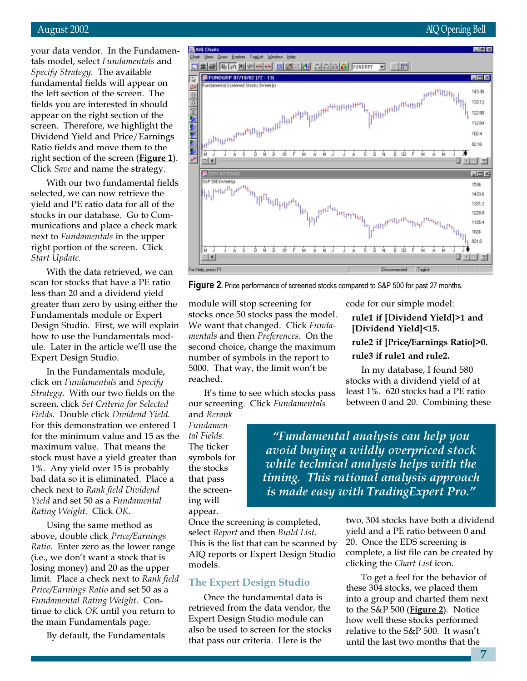your data vendor. In the Fundamentals model, select Fundamentals and Specify Strategy. The available fundamental fields will appear on the left section of the screen. The fields you are interested in should appear on the right section of the screen. Therefore, we highlight the Dividend Yield and Price/Earnings Ratio fields and move them to the right section of the screen (Figure 1). Click Save and name the strategy.

With our two fundamental fields selected, we can now retrieve the yield and PE ratio data for all of the stocks in our database. Go to Communications and place a check mark next to Fundamentals in the upper right portion of the screen. Click Start Update.

With the data retrieved, we can scan for stocks that have a PE ratio less than 20 and a dividend yield greater than zero by using either the Fundamentals module or Expert Design Studio. First, we will explain how to use the Fundamentals module. Later in the article we'll use the Expert Design Studio.

In the Fundamentals module, click on Fundamentals and Specify Strategy. With our two fields on the screen, click Set Criteria for Selected Fields. Double click Dividend Yield. For this demonstration we entered 1 for the minimum value and 15 as the maximum value. That means the stock must have a yield greater than 1%. Any yield over 15 is probably bad data so it is eliminated. Place a check next to Rank field Dividend Yield and set 50 as a Fundamental Rating Weight. Click OK.

Using the same method as above, double click Price/Earnings Ratio. Enter zero as the lower range (i.e., we don't want a stock that is losing money) and 20 as the upper limit. Place a check next to Rank field Price/Earnings Ratio and set 50 as a Fundamental Rating Weight. Continue to click OK until you return to the main Fundamentals page.

By default, the Fundamentals



**Figure 2.** Price performance of screened stocks compared to S&P 500 for past 27 months.

module will stop screening for stocks once 50 stocks pass the model. We want that changed. Click Fundamentals and then Preferences. On the second choice, change the maximum number of symbols in the report to 5000. That way, the limit won't be reached.

It's time to see which stocks pass our screening. Click Fundamentals

and Rerank Fundamental Fields. The ticker symbols for the stocks that pass the screening will appear.

code for our simple model:

rule1 if [Dividend Yield]>1 and [Dividend Yield]<15.

rule2 if [Price/Earnings Ratio]>0.

#### rule3 if rule1 and rule2.

In my database, I found 580 stocks with a dividend yield of at least 1%. 620 stocks had a PE ratio between 0 and 20. Combining these

"Fundamental analysis can help you avoid buying a wildly overpriced stock while technical analysis helps with the timing. This rational analysis approach is made easy with TradingExpert Pro."

Once the screening is completed, select Report and then Build List. This is the list that can be scanned by AIQ reports or Expert Design Studio models.

#### The Expert Design Studio

Once the fundamental data is retrieved from the data vendor, the Expert Design Studio module can also be used to screen for the stocks that pass our criteria. Here is the

two, 304 stocks have both a dividend yield and a PE ratio between 0 and 20. Once the EDS screening is complete, a list file can be created by clicking the Chart List icon.

To get a feel for the behavior of these 304 stocks, we placed them into a group and charted them next to the S&P 500 (**Figure 2**). Notice how well these stocks performed relative to the S&P 500. It wasn't until the last two months that the

7